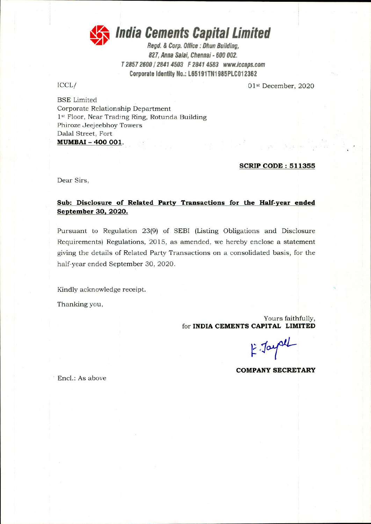

**41; India Cements Capital Limited** 

Regd. & Corp. Office : Ohun Building, 827, Anna Salai, Chennai - 600 002. T 2857 2600 / 2841 4503 F 2841 4583 wwitaccaps.com Corporate Identity No.: L65191TN1985PLC012362

ICCL/ 01st December, 2020

BSE Limited Corporate Relationship Department 1st Floor, Near Trading Ring, Rotunda Building Phiroze Jeejeebhoy Towers Dalai Street, Fort **MUMBAI - 400 001.** 

#### **SCRIP CODE: 511355**

Dear Sirs,

#### **Sub: Disclosure of Related Party Transactions for the Half-year ended**  September 30, 2020.

Pursuant to Regulation 23(9) of SEBI (Listing Obligations and Disclosure Requirements) Regulations, 2015, as amended, we hereby enclose a statement giving the details of Related Party Transactions on a consolidated basis, for the half-year ended September 30, 2020.

Kindly acknowledge receipt.

Thanking you,

Yours faithfully, for **INDIA CEMENTS CAPITAL LIMITED** 

E Jayal

**COMPANY SECRETARY** 

Encl.: As above